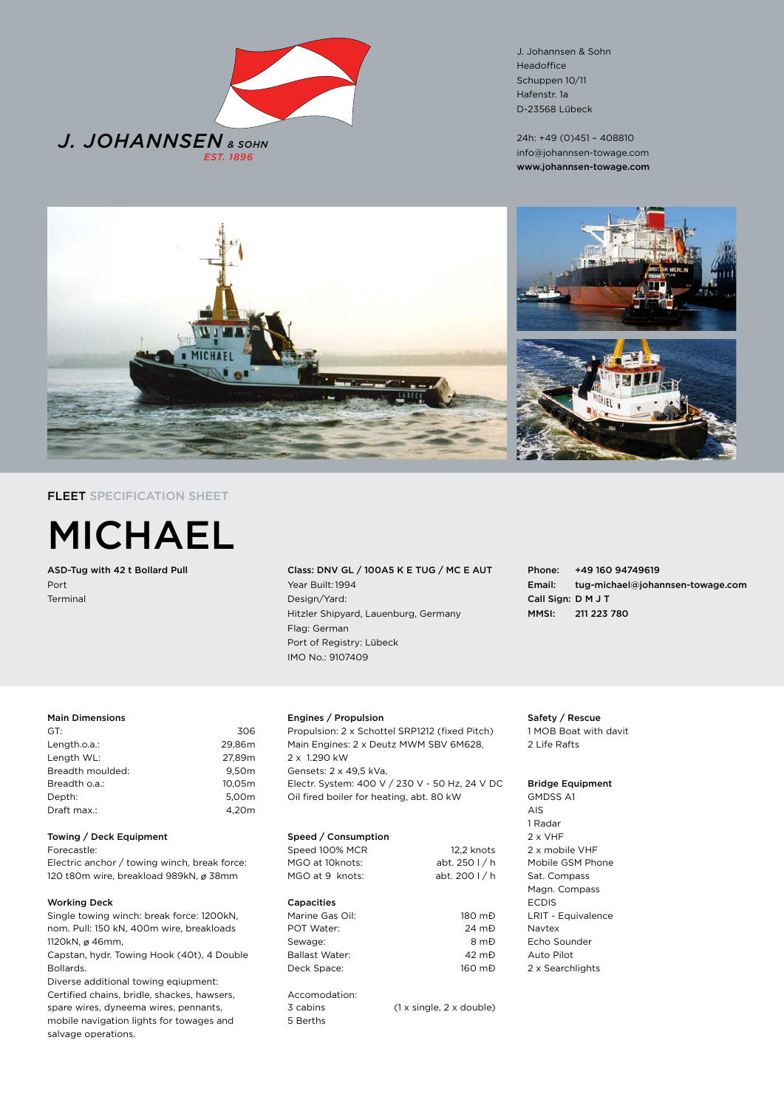

J. Johannsen & Sohn Headoffice Schuppen 10/11 Hafenstr. 1a D-23568 Lübeck

24h: +49 (0)451 – 408810 info@johannsen-towage.com www.johannsen-towage.com



# FLEET SPECIFICATION SHEET



ASD-Tug with 42 t Bollard Pull Port Terminal

Class: DNV GL / 100A5 K E TUG / MC E AUT Year Built:1994 Design/Yard: Hitzler Shipyard, Lauenburg, Germany Flag: German Port of Registry: Lübeck IMO No.: 9107409

Phone: +49 160 94749619 Email: tug-michael@johannsen-towage.com Call Sign: D M J T MMSI: 211 223 780

#### Main Dimensions

| GT:              | 306    |
|------------------|--------|
| Length.o.a.:     | 29.86m |
| Length WL:       | 27.89m |
| Breadth moulded: | 9.50m  |
| Breadth o.a.:    | 10.05m |
| Depth:           | 5.00m  |
| Draft max.:      | 4.20m  |
|                  |        |

#### Towing / Deck Equipment

Forecastle:

Electric anchor / towing winch, break force: 120 t80m wire, breakload 989kN, ø 38mm

#### Working Deck

Single towing winch: break force: 1200kN, nom. Pull: 150 kN, 400m wire, breakloads 1120kN, ø 46mm,

Capstan, hydr. Towing Hook (40t), 4 Double Bollards.

Diverse additional towing eqiupment: Certified chains, bridle, shackes, hawsers,

spare wires, dyneema wires, pennants, mobile navigation lights for towages and salvage operations.

## Engines / Propulsion

Propulsion: 2 x Schottel SRP1212 (fixed Pitch) Main Engines: 2 x Deutz MWM SBV 6M628, 2 x 1.290 kW Gensets: 2 x 49,5 kVa, Electr. System: 400 V / 230 V - 50 Hz, 24 V DC Oil fired boiler for heating, abt. 80 kW

## Speed / Consumption

Speed 100% MCR 12,2 knots MGO at 10knots: abt. 250 l / h MGO at 9 knots: abt. 200 l / h Capacities Marine Gas Oil: 180 mĐ POT Water: 24 mĐ Sewage: 8 mĐ Ballast Water: 42 m<sup>D</sup> Deck Space: 160 mĐ Accomodation: 3 cabins (1 x single, 2 x double) 5 Berths

Safety / Rescue 1 MOB Boat with davit 2 Life Rafts

### Bridge Equipment

GMDSS A1 AIS 1 Radar 2 x VHF 2 x mobile VHF Mobile GSM Phone Sat. Compass Magn. Compass ECDIS LRIT - Equivalence Navtex Echo Sounder Auto Pilot 2 x Searchlights